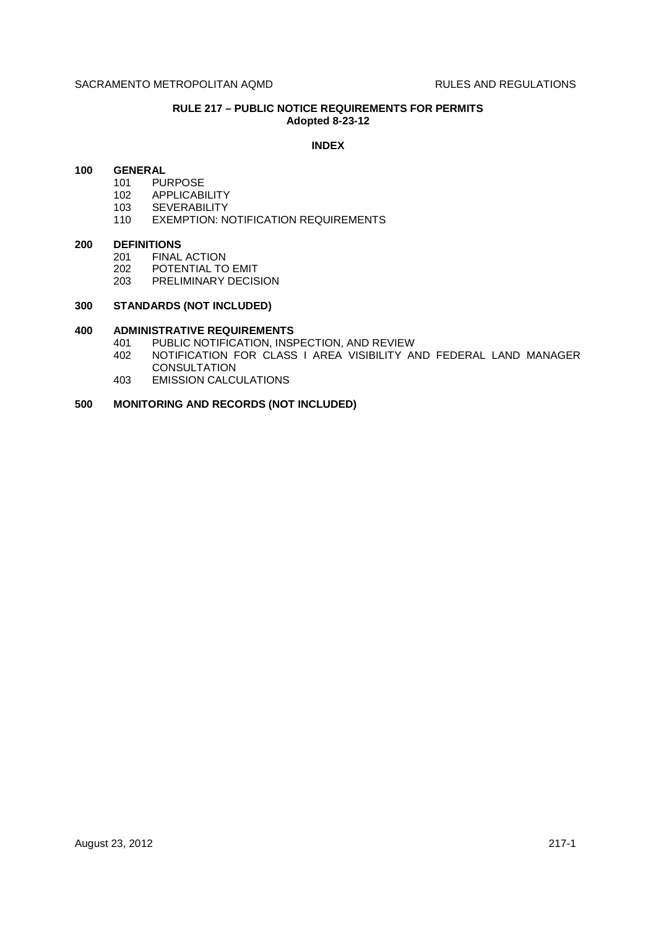# **RULE 217 – PUBLIC NOTICE REQUIREMENTS FOR PERMITS Adopted 8-23-12**

## **INDEX**

## **100 GENERAL**

- 101 PURPOSE
- 102 APPLICABILITY
- 103 SEVERABILITY
- 110 EXEMPTION: NOTIFICATION REQUIREMENTS

### **200 DEFINITIONS**

- 201 FINAL ACTION
- 202 POTENTIAL TO EMIT
- 203 PRELIMINARY DECISION

## **300 STANDARDS (NOT INCLUDED)**

# **400 ADMINISTRATIVE REQUIREMENTS**

- 401 PUBLIC NOTIFICATION, INSPECTION, AND REVIEW
- 402 NOTIFICATION FOR CLASS I AREA VISIBILITY AND FEDERAL LAND MANAGER **CONSULTATION**
- 403 EMISSION CALCULATIONS

# **500 MONITORING AND RECORDS (NOT INCLUDED)**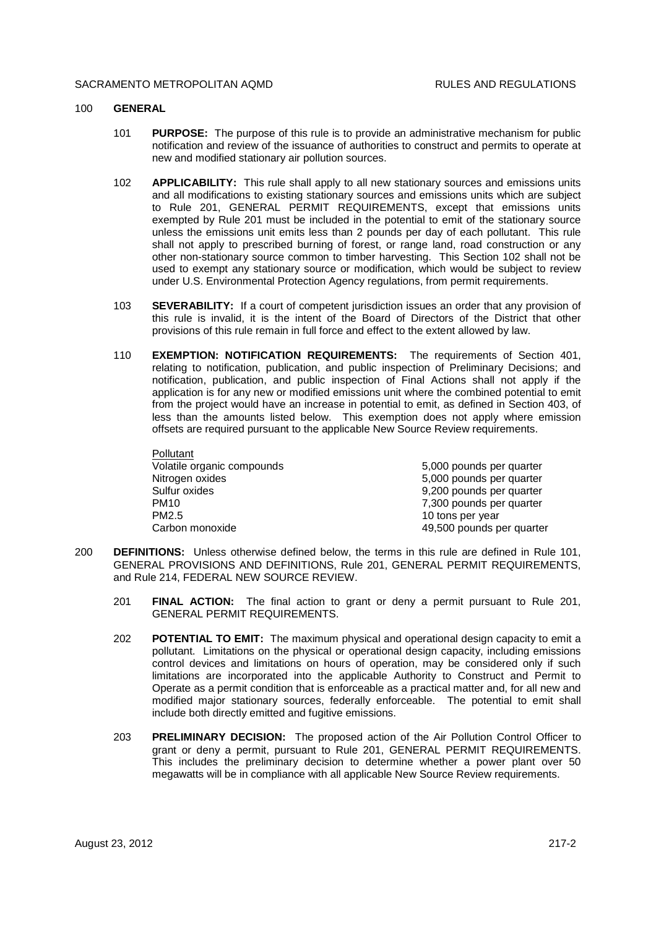#### SACRAMENTO METROPOLITAN AOMD **RULES AND REGULATIONS**

Pollutant

### 100 **GENERAL**

- 101 **PURPOSE:** The purpose of this rule is to provide an administrative mechanism for public notification and review of the issuance of authorities to construct and permits to operate at new and modified stationary air pollution sources.
- 102 **APPLICABILITY:** This rule shall apply to all new stationary sources and emissions units and all modifications to existing stationary sources and emissions units which are subject to Rule 201, GENERAL PERMIT REQUIREMENTS, except that emissions units exempted by Rule 201 must be included in the potential to emit of the stationary source unless the emissions unit emits less than 2 pounds per day of each pollutant. This rule shall not apply to prescribed burning of forest, or range land, road construction or any other non-stationary source common to timber harvesting. This Section 102 shall not be used to exempt any stationary source or modification, which would be subject to review under U.S. Environmental Protection Agency regulations, from permit requirements.
- 103 **SEVERABILITY:** If a court of competent jurisdiction issues an order that any provision of this rule is invalid, it is the intent of the Board of Directors of the District that other provisions of this rule remain in full force and effect to the extent allowed by law.
- 110 **EXEMPTION: NOTIFICATION REQUIREMENTS:** The requirements of Section 401, relating to notification, publication, and public inspection of Preliminary Decisions; and notification, publication, and public inspection of Final Actions shall not apply if the application is for any new or modified emissions unit where the combined potential to emit from the project would have an increase in potential to emit, as defined in Section 403, of less than the amounts listed below. This exemption does not apply where emission offsets are required pursuant to the applicable New Source Review requirements.

| Pollutant                  |                           |
|----------------------------|---------------------------|
| Volatile organic compounds | 5,000 pounds per quarter  |
| Nitrogen oxides            | 5,000 pounds per quarter  |
| Sulfur oxides              | 9,200 pounds per quarter  |
| PM <sub>10</sub>           | 7,300 pounds per quarter  |
| PM2.5                      | 10 tons per year          |
| Carbon monoxide            | 49,500 pounds per quarter |

- 200 **DEFINITIONS:** Unless otherwise defined below, the terms in this rule are defined in Rule 101, GENERAL PROVISIONS AND DEFINITIONS, Rule 201, GENERAL PERMIT REQUIREMENTS, and Rule 214, FEDERAL NEW SOURCE REVIEW.
	- 201 **FINAL ACTION:** The final action to grant or deny a permit pursuant to Rule 201, GENERAL PERMIT REQUIREMENTS.
	- 202 **POTENTIAL TO EMIT:** The maximum physical and operational design capacity to emit a pollutant. Limitations on the physical or operational design capacity, including emissions control devices and limitations on hours of operation, may be considered only if such limitations are incorporated into the applicable Authority to Construct and Permit to Operate as a permit condition that is enforceable as a practical matter and, for all new and modified major stationary sources, federally enforceable. The potential to emit shall include both directly emitted and fugitive emissions.
	- 203 **PRELIMINARY DECISION:** The proposed action of the Air Pollution Control Officer to grant or deny a permit, pursuant to Rule 201, GENERAL PERMIT REQUIREMENTS. This includes the preliminary decision to determine whether a power plant over 50 megawatts will be in compliance with all applicable New Source Review requirements.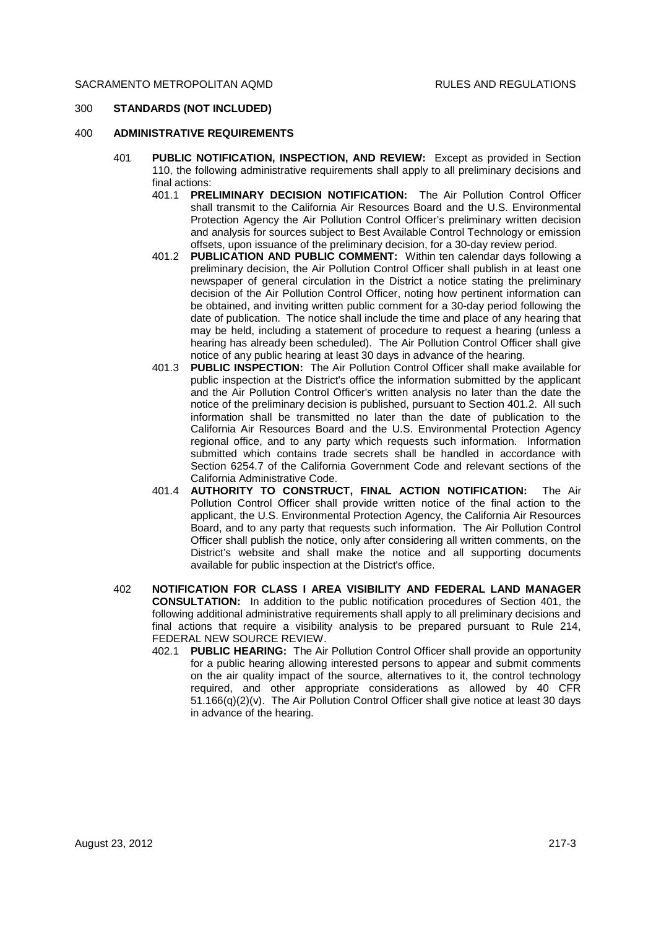## 300 **STANDARDS (NOT INCLUDED)**

## 400 **ADMINISTRATIVE REQUIREMENTS**

- 401 **PUBLIC NOTIFICATION, INSPECTION, AND REVIEW:** Except as provided in Section 110, the following administrative requirements shall apply to all preliminary decisions and final actions:
	- 401.1 **PRELIMINARY DECISION NOTIFICATION:** The Air Pollution Control Officer shall transmit to the California Air Resources Board and the U.S. Environmental Protection Agency the Air Pollution Control Officer's preliminary written decision and analysis for sources subject to Best Available Control Technology or emission offsets, upon issuance of the preliminary decision, for a 30-day review period.
	- 401.2 **PUBLICATION AND PUBLIC COMMENT:** Within ten calendar days following a preliminary decision, the Air Pollution Control Officer shall publish in at least one newspaper of general circulation in the District a notice stating the preliminary decision of the Air Pollution Control Officer, noting how pertinent information can be obtained, and inviting written public comment for a 30-day period following the date of publication. The notice shall include the time and place of any hearing that may be held, including a statement of procedure to request a hearing (unless a hearing has already been scheduled). The Air Pollution Control Officer shall give notice of any public hearing at least 30 days in advance of the hearing.
	- 401.3 **PUBLIC INSPECTION:** The Air Pollution Control Officer shall make available for public inspection at the District's office the information submitted by the applicant and the Air Pollution Control Officer's written analysis no later than the date the notice of the preliminary decision is published, pursuant to Section 401.2. All such information shall be transmitted no later than the date of publication to the California Air Resources Board and the U.S. Environmental Protection Agency regional office, and to any party which requests such information. Information submitted which contains trade secrets shall be handled in accordance with Section 6254.7 of the California Government Code and relevant sections of the California Administrative Code.
	- 401.4 **AUTHORITY TO CONSTRUCT, FINAL ACTION NOTIFICATION:** The Air Pollution Control Officer shall provide written notice of the final action to the applicant, the U.S. Environmental Protection Agency, the California Air Resources Board, and to any party that requests such information. The Air Pollution Control Officer shall publish the notice, only after considering all written comments, on the District's website and shall make the notice and all supporting documents available for public inspection at the District's office.
- 402 **NOTIFICATION FOR CLASS I AREA VISIBILITY AND FEDERAL LAND MANAGER CONSULTATION:** In addition to the public notification procedures of Section 401, the following additional administrative requirements shall apply to all preliminary decisions and final actions that require a visibility analysis to be prepared pursuant to Rule 214, FEDERAL NEW SOURCE REVIEW.
	- 402.1 **PUBLIC HEARING:** The Air Pollution Control Officer shall provide an opportunity for a public hearing allowing interested persons to appear and submit comments on the air quality impact of the source, alternatives to it, the control technology required, and other appropriate considerations as allowed by 40 CFR 51.166(q)(2)(v). The Air Pollution Control Officer shall give notice at least 30 days in advance of the hearing.